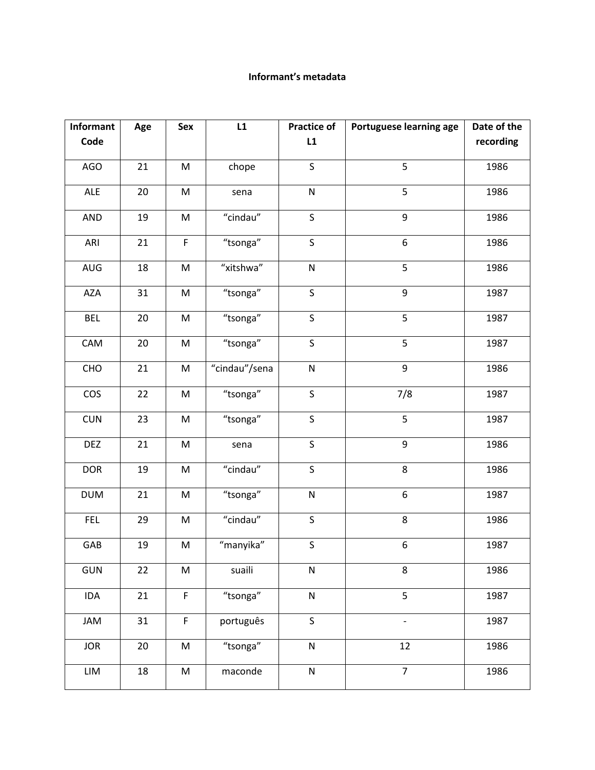## Informant's metadata

| Informant  | Age | Sex                                                                                                        | L1            | <b>Practice of</b>      | Portuguese learning age  | Date of the |
|------------|-----|------------------------------------------------------------------------------------------------------------|---------------|-------------------------|--------------------------|-------------|
| Code       |     |                                                                                                            |               | L1                      |                          | recording   |
| AGO        | 21  | M                                                                                                          | chope         | $\mathsf{S}$            | 5                        | 1986        |
| ALE        | 20  | M                                                                                                          | sena          | ${\sf N}$               | 5                        | 1986        |
| AND        | 19  | ${\sf M}$                                                                                                  | "cindau"      | $\mathsf{S}$            | 9                        | 1986        |
| ARI        | 21  | $\mathsf F$                                                                                                | "tsonga"      | $\sf S$                 | $\boldsymbol{6}$         | 1986        |
| AUG        | 18  | M                                                                                                          | "xitshwa"     | ${\sf N}$               | 5                        | 1986        |
| <b>AZA</b> | 31  | M                                                                                                          | "tsonga"      | $\overline{\mathsf{S}}$ | 9                        | 1987        |
| <b>BEL</b> | 20  | M                                                                                                          | "tsonga"      | $\sf S$                 | 5                        | 1987        |
| CAM        | 20  | ${\sf M}$                                                                                                  | "tsonga"      | $\mathsf{S}$            | 5                        | 1987        |
| CHO        | 21  | M                                                                                                          | "cindau"/sena | ${\sf N}$               | 9                        | 1986        |
| cos        | 22  | M                                                                                                          | "tsonga"      | $\sf S$                 | 7/8                      | 1987        |
| <b>CUN</b> | 23  | M                                                                                                          | "tsonga"      | S                       | 5                        | 1987        |
| <b>DEZ</b> | 21  | M                                                                                                          | sena          | $\sf S$                 | $\boldsymbol{9}$         | 1986        |
| <b>DOR</b> | 19  | M                                                                                                          | "cindau"      | $\sf S$                 | 8                        | 1986        |
| <b>DUM</b> | 21  | ${\sf M}$                                                                                                  | "tsonga"      | ${\sf N}$               | 6                        | 1987        |
| <b>FEL</b> | 29  | ${\sf M}$                                                                                                  | "cindau"      | $\mathsf{S}$            | 8                        | 1986        |
| GAB        | 19  | M                                                                                                          | "manyika"     | $\mathsf S$             | $\boldsymbol{6}$         | 1987        |
| <b>GUN</b> | 22  | M                                                                                                          | suaili        | ${\sf N}$               | 8                        | 1986        |
| IDA        | 21  | $\overline{F}$                                                                                             | "tsonga"      | ${\sf N}$               | $\overline{5}$           | 1987        |
| JAM        | 31  | $\mathsf F$                                                                                                | português     | $\sf S$                 | $\overline{\phantom{a}}$ | 1987        |
| <b>JOR</b> | 20  | M                                                                                                          | "tsonga"      | ${\sf N}$               | 12                       | 1986        |
| LIM        | 18  | $\mathsf{M}% _{T}=\mathsf{M}_{T}\!\left( a,b\right) ,\ \mathsf{M}_{T}=\mathsf{M}_{T}\!\left( a,b\right) ,$ | maconde       | ${\sf N}$               | $\overline{7}$           | 1986        |